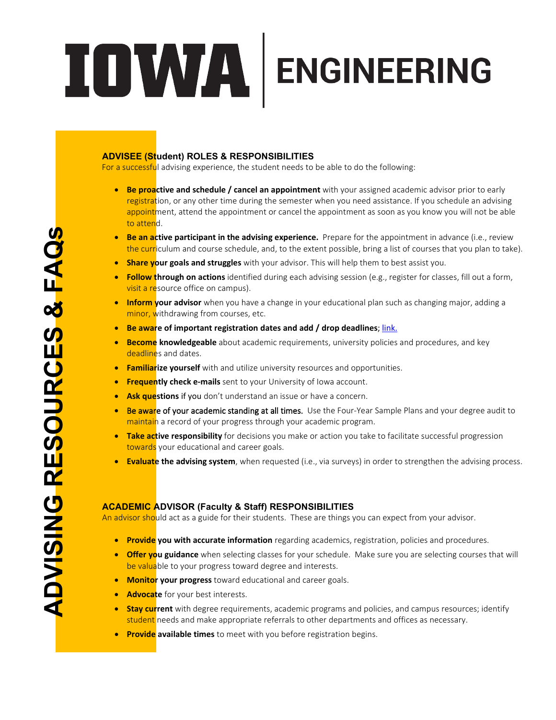# IOWA ENGINEERING

# **ADVISEE (Student) ROLES & RESPONSIBILITIES**

For a successful advising experience, the student needs to be able to do the following:

- **Be proactive and schedule / cancel an appointment** with your assigned academic advisor prior to early registration, or any other time during the semester when you need assistance. If you schedule an advising appointment, attend the appointment or cancel the appointment as soon as you know you will not be able to attend.
- **Be an active participant in the advising experience.** Prepare for the appointment in advance (i.e., review the curriculum and course schedule, and, to the extent possible, bring a list of courses that you plan to take).
- **Share your goals and struggles** with your advisor. This will help them to best assist you.
- **Follow through on actions** identified during each advising session (e.g., register for classes, fill out a form, visit a resource office on campus).
- **Inform your advisor** when you have a change in your educational plan such as changing major, adding a minor, withdrawing from courses, etc.
- **Be aware of important registratio[n dates](https://registrar.uiowa.edu/course-deadlines) and add / drop deadlines**; [link.](https://registrar.uiowa.edu/course-deadlines)
- **Become knowledgeable** about academic requirements, university policies and procedures, and key deadlines and dates.
- **Familiarize yourself** with and utilize university resources and opportunities.
- **Frequently check e-mails** sent to your University of Iowa account.
- **Ask questions** if you don't understand an issue or have a concern.
- Be aware of your academic standing at all times. Use the Four-Year Sample Plans and your degree audit to maintain a record of your progress through your academic program.
- **Take active responsibility** for decisions you make or action you take to facilitate successful progression towards your educational and career goals.
- **Evaluate the advising system**, when requested (i.e., via surveys) in order to strengthen the advising process.

# **ACADEMIC ADVISOR (Faculty & Staff) RESPONSIBILITIES**

An advisor should act as a guide for their students. These are things you can expect from your advisor.

- **Provide you with accurate information** regarding academics, registration, policies and procedures.
- **Offer you guidance** when selecting classes for your schedule. Make sure you are selecting courses that will be valuable to your progress toward degree and interests.
- **Monitor your progress** toward educational and career goals.
- **Advocate** for your best interests.
- **Stay current** with degree requirements, academic programs and policies, and campus resources; identify student needs and make appropriate referrals to other departments and offices as necessary.
- **Provide available times** to meet with you before registration begins.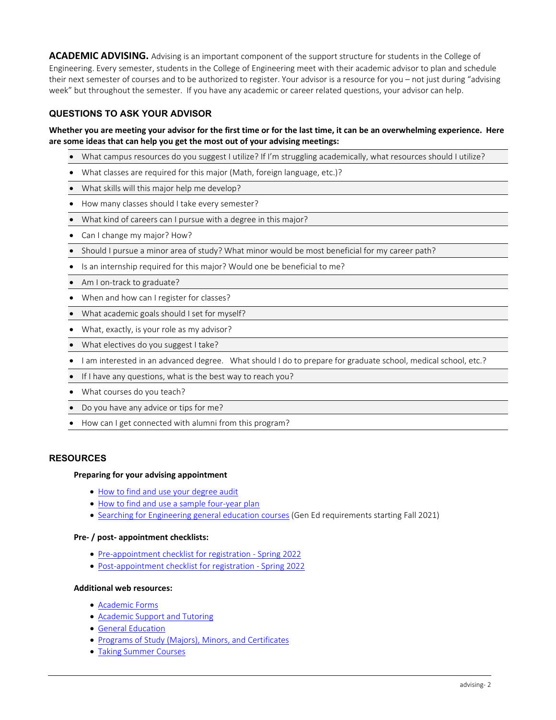**ACADEMIC ADVISING.** Advising is an important component of the support structure for students in the College of Engineering. Every semester, students in the College of Engineering meet with their academic advisor to plan and schedule their next semester of courses and to be authorized to register. Your advisor is a resource for you – not just during "advising week" but throughout the semester. If you have any academic or career related questions, your advisor can help.

# **QUESTIONS TO ASK YOUR ADVISOR**

# **Whether you are meeting your advisor for the first time or for the last time, it can be an overwhelming experience. Here are some ideas that can help you get the most out of your advising meetings:**

- What campus resources do you suggest I utilize? If I'm struggling academically, what resources should I utilize?
- What classes are required for this major (Math, foreign language, etc.)?
- What skills will this major help me develop?
- How many classes should I take every semester?
- What kind of careers can I pursue with a degree in this major?
- Can I change my major? How?
- Should I pursue a minor area of study? What minor would be most beneficial for my career path?
- Is an internship required for this major? Would one be beneficial to me?
- Am I on-track to graduate?
- When and how can I register for classes?
- What academic goals should I set for myself?
- What, exactly, is your role as my advisor?
- What electives do you suggest I take?
- I am interested in an advanced degree. What should I do to prepare for graduate school, medical school, etc.?
- If I have any questions, what is the best way to reach you?
- What courses do you teach?
- Do you have any advice or tips for me?
- How can I get connected with alumni from this program?

# **RESOURCES**

#### **Preparing for your advising appointment**

- [How to find and use your degree audit](https://engineering.uiowa.edu/sites/engineering.uiowa.edu/files/2021-09/How%20to%20find%20and%20use%20your%20degree%20audit.pdf)
- [How to find and use a sample four-year plan](https://engineering.uiowa.edu/sites/engineering.uiowa.edu/files/2021-09/How%20to%20find%20and%20use%20a%20sample%20four-year%20plan.pdf)
- [Searching for Engineering general education courses](https://engineering.uiowa.edu/sites/engineering.uiowa.edu/files/2022-02/Handout%20-%20Searching%20for%20Engineering%20Gen%20Eds.pdf) (Gen Ed requirements starting Fall 2021)

#### **Pre- / post- appointment checklists:**

- [Pre-appointment checklist for registration -](https://engineering.uiowa.edu/sites/engineering.uiowa.edu/files/2022-03/Pre-Appointment%20Checklist%20for%20Registration%20-%20Spring%202022_0.pdf) Spring 2022
- [Post-appointment checklist for registration -](https://engineering.uiowa.edu/sites/engineering.uiowa.edu/files/2022-02/Post-Appointment%20Checklist%20for%20Registration%20-%20Spring%202022.pdf) Spring 2022

#### **Additional web resources:**

- [Academic Forms](https://engineering.uiowa.edu/current-students/academic-advising/academic-forms)
- [Academic Support and Tutoring](https://engineering.uiowa.edu/current-students/academic-support-and-tutoring/engineering-tutoring)
- [General Education](https://engineering.uiowa.edu/current-students/advising-and-academic-information/general-education-component)
- [Programs of Study \(Majors\), Minors, and Certificates](https://engineering.uiowa.edu/academics/first-year-students/programs-study-majors-minors-and-certificates)
- [Taking Summer Courses](https://engineering.uiowa.edu/current-students/academic-advising/taking-summer-courses)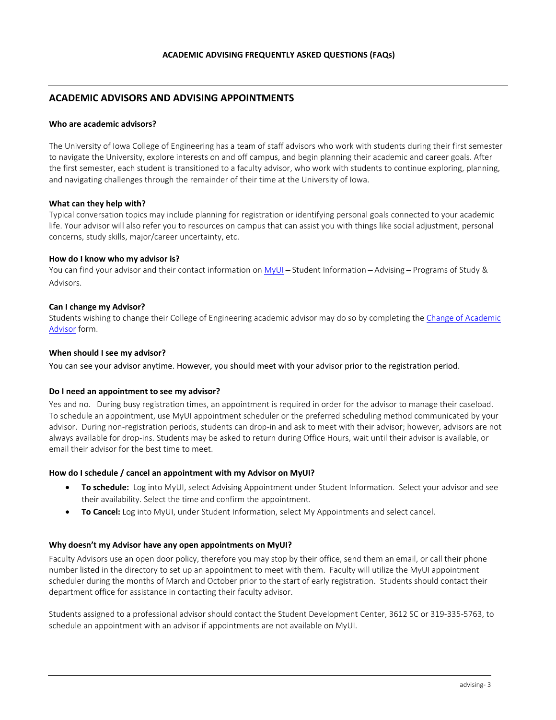# **ACADEMIC ADVISORS AND ADVISING APPOINTMENTS**

#### **Who are academic advisors?**

The University of Iowa College of Engineering has a team of staff advisors who work with students during their first semester to navigate the University, explore interests on and off campus, and begin planning their academic and career goals. After the first semester, each student is transitioned to a faculty advisor, who work with students to continue exploring, planning, and navigating challenges through the remainder of their time at the University of Iowa.

## **What can they help with?**

Typical conversation topics may include planning for registration or identifying personal goals connected to your academic life. Your advisor will also refer you to resources on campus that can assist you with things like social adjustment, personal concerns, study skills, major/career uncertainty, etc.

#### **How do I know who my advisor is?**

You can find your advisor and their contact information on [MyUI](https://myui.uiowa.edu/my-ui/home.page?home=) – Student Information – Advising – Programs of Study & Advisors.

## **Can I change my Advisor?**

Students wishing to change their College of Engineering academic advisor may do so by completing the Change [of Academic](https://workflow.uiowa.edu/form/change-of-advisor-)  [Advisor](https://workflow.uiowa.edu/form/change-of-advisor-) form.

## **When should I see my advisor?**

You can see your advisor anytime. However, you should meet with your advisor prior to the registration period.

#### **Do I need an appointment to see my advisor?**

Yes and no. During busy registration times, an appointment is required in order for the advisor to manage their caseload. To schedule an appointment, use MyUI appointment scheduler or the preferred scheduling method communicated by your advisor. During non-registration periods, students can drop-in and ask to meet with their advisor; however, advisors are not always available for drop-ins. Students may be asked to return during Office Hours, wait until their advisor is available, or email their advisor for the best time to meet.

# **How do I schedule / cancel an appointment with my Advisor on MyUI?**

- **To schedule:** Log into MyUI, select Advising Appointment under Student Information. Select your advisor and see their availability. Select the time and confirm the appointment.
- **To Cancel:** Log into MyUI, under Student Information, select My Appointments and select cancel.

#### **Why doesn't my Advisor have any open appointments on MyUI?**

Faculty Advisors use an open door policy, therefore you may stop by their office, send them an email, or call their phone number listed in the directory to set up an appointment to meet with them. Faculty will utilize the MyUI appointment scheduler during the months of March and October prior to the start of early registration. Students should contact their department office for assistance in contacting their faculty advisor.

Students assigned to a professional advisor should contact the Student Development Center, 3612 SC or 319-335-5763, to schedule an appointment with an advisor if appointments are not available on MyUI.